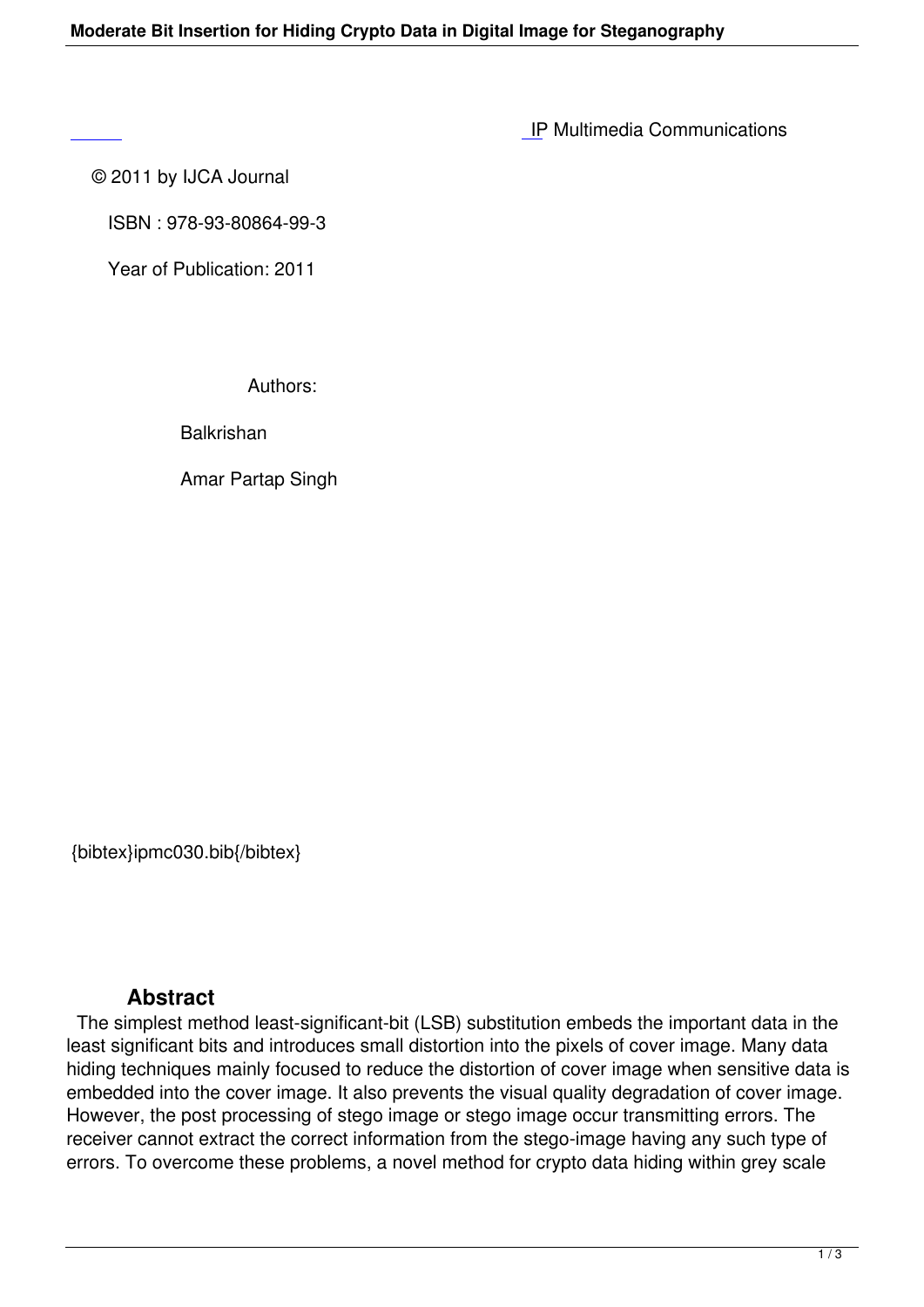IP Multimedia Communications

© 2011 by IJCA Journal

 [IS](http://research.ijcaonline.org/ipmc/number1/ipmc030.pdf)BN : 978-93-80864-99-3

Year of Publication: 2011

Authors:

**Balkrishan** 

Amar Partap Singh

{bibtex}ipmc030.bib{/bibtex}

## **Abstract**

 The simplest method least-significant-bit (LSB) substitution embeds the important data in the least significant bits and introduces small distortion into the pixels of cover image. Many data hiding techniques mainly focused to reduce the distortion of cover image when sensitive data is embedded into the cover image. It also prevents the visual quality degradation of cover image. However, the post processing of stego image or stego image occur transmitting errors. The receiver cannot extract the correct information from the stego-image having any such type of errors. To overcome these problems, a novel method for crypto data hiding within grey scale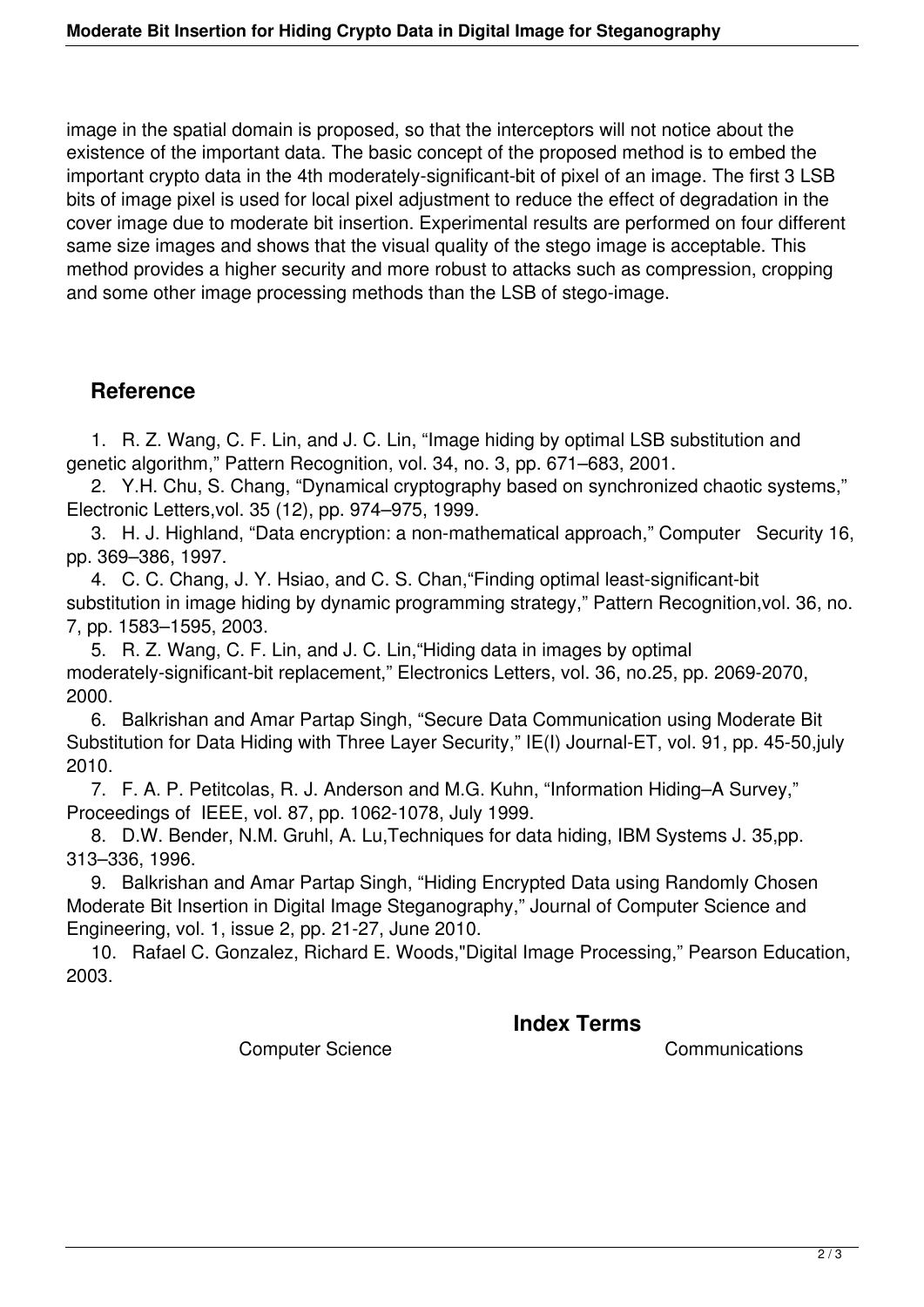image in the spatial domain is proposed, so that the interceptors will not notice about the existence of the important data. The basic concept of the proposed method is to embed the important crypto data in the 4th moderately-significant-bit of pixel of an image. The first 3 LSB bits of image pixel is used for local pixel adjustment to reduce the effect of degradation in the cover image due to moderate bit insertion. Experimental results are performed on four different same size images and shows that the visual quality of the stego image is acceptable. This method provides a higher security and more robust to attacks such as compression, cropping and some other image processing methods than the LSB of stego-image.

## **Reference**

 1. R. Z. Wang, C. F. Lin, and J. C. Lin, "Image hiding by optimal LSB substitution and genetic algorithm," Pattern Recognition, vol. 34, no. 3, pp. 671–683, 2001.

 2. Y.H. Chu, S. Chang, "Dynamical cryptography based on synchronized chaotic systems," Electronic Letters,vol. 35 (12), pp. 974–975, 1999.

 3. H. J. Highland, "Data encryption: a non-mathematical approach," Computer Security 16, pp. 369–386, 1997.

 4. C. C. Chang, J. Y. Hsiao, and C. S. Chan,"Finding optimal least-significant-bit substitution in image hiding by dynamic programming strategy," Pattern Recognition,vol. 36, no. 7, pp. 1583–1595, 2003.

 5. R. Z. Wang, C. F. Lin, and J. C. Lin,"Hiding data in images by optimal moderately-significant-bit replacement," Electronics Letters, vol. 36, no.25, pp. 2069-2070, 2000.

 6. Balkrishan and Amar Partap Singh, "Secure Data Communication using Moderate Bit Substitution for Data Hiding with Three Layer Security," IE(I) Journal-ET, vol. 91, pp. 45-50,july 2010.

 7. F. A. P. Petitcolas, R. J. Anderson and M.G. Kuhn, "Information Hiding–A Survey," Proceedings of IEEE, vol. 87, pp. 1062-1078, July 1999.

 8. D.W. Bender, N.M. Gruhl, A. Lu,Techniques for data hiding, IBM Systems J. 35,pp. 313–336, 1996.

 9. Balkrishan and Amar Partap Singh, "Hiding Encrypted Data using Randomly Chosen Moderate Bit Insertion in Digital Image Steganography," Journal of Computer Science and Engineering, vol. 1, issue 2, pp. 21-27, June 2010.

 10. Rafael C. Gonzalez, Richard E. Woods,"Digital Image Processing," Pearson Education, 2003.

## **Index Terms**

Computer Science Communications